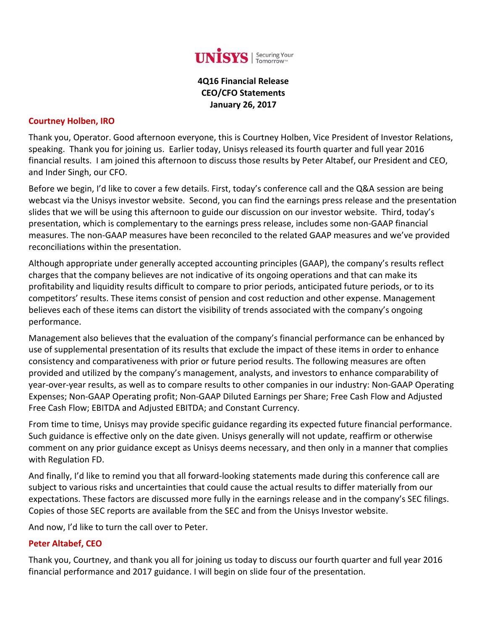

**4Q16 Financial Release CEO/CFO Statements January 26, 2017**

#### **Courtney Holben, IRO**

Thank you, Operator. Good afternoon everyone, this is Courtney Holben, Vice President of Investor Relations, speaking. Thank you for joining us. Earlier today, Unisys released its fourth quarter and full year 2016 financial results. I am joined this afternoon to discuss those results by Peter Altabef, our President and CEO, and Inder Singh, our CFO.

Before we begin, I'd like to cover a few details. First, today's conference call and the Q&A session are being webcast via the Unisys investor website. Second, you can find the earnings press release and the presentation slides that we will be using this afternoon to guide our discussion on our investor website. Third, today's presentation, which is complementary to the earnings press release, includes some non‐GAAP financial measures. The non‐GAAP measures have been reconciled to the related GAAP measures and we've provided reconciliations within the presentation.

Although appropriate under generally accepted accounting principles (GAAP), the company's results reflect charges that the company believes are not indicative of its ongoing operations and that can make its profitability and liquidity results difficult to compare to prior periods, anticipated future periods, or to its competitors' results. These items consist of pension and cost reduction and other expense. Management believes each of these items can distort the visibility of trends associated with the company's ongoing performance.

Management also believes that the evaluation of the company's financial performance can be enhanced by use of supplemental presentation of its results that exclude the impact of these items in order to enhance consistency and comparativeness with prior or future period results. The following measures are often provided and utilized by the company's management, analysts, and investors to enhance comparability of year‐over‐year results, as well as to compare results to other companies in our industry: Non‐GAAP Operating Expenses; Non‐GAAP Operating profit; Non‐GAAP Diluted Earnings per Share; Free Cash Flow and Adjusted Free Cash Flow; EBITDA and Adjusted EBITDA; and Constant Currency.

From time to time, Unisys may provide specific guidance regarding its expected future financial performance. Such guidance is effective only on the date given. Unisys generally will not update, reaffirm or otherwise comment on any prior guidance except as Unisys deems necessary, and then only in a manner that complies with Regulation FD.

And finally, I'd like to remind you that all forward‐looking statements made during this conference call are subject to various risks and uncertainties that could cause the actual results to differ materially from our expectations. These factors are discussed more fully in the earnings release and in the company's SEC filings. Copies of those SEC reports are available from the SEC and from the Unisys Investor website.

And now, I'd like to turn the call over to Peter.

#### **Peter Altabef, CEO**

Thank you, Courtney, and thank you all for joining us today to discuss our fourth quarter and full year 2016 financial performance and 2017 guidance. I will begin on slide four of the presentation.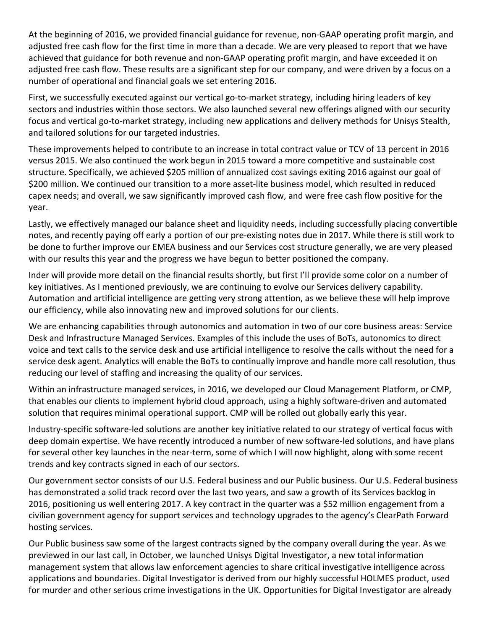At the beginning of 2016, we provided financial guidance for revenue, non‐GAAP operating profit margin, and adjusted free cash flow for the first time in more than a decade. We are very pleased to report that we have achieved that guidance for both revenue and non‐GAAP operating profit margin, and have exceeded it on adjusted free cash flow. These results are a significant step for our company, and were driven by a focus on a number of operational and financial goals we set entering 2016.

First, we successfully executed against our vertical go-to-market strategy, including hiring leaders of key sectors and industries within those sectors. We also launched several new offerings aligned with our security focus and vertical go-to-market strategy, including new applications and delivery methods for Unisys Stealth, and tailored solutions for our targeted industries.

These improvements helped to contribute to an increase in total contract value or TCV of 13 percent in 2016 versus 2015. We also continued the work begun in 2015 toward a more competitive and sustainable cost structure. Specifically, we achieved \$205 million of annualized cost savings exiting 2016 against our goal of \$200 million. We continued our transition to a more asset‐lite business model, which resulted in reduced capex needs; and overall, we saw significantly improved cash flow, and were free cash flow positive for the year.

Lastly, we effectively managed our balance sheet and liquidity needs, including successfully placing convertible notes, and recently paying off early a portion of our pre‐existing notes due in 2017. While there is still work to be done to further improve our EMEA business and our Services cost structure generally, we are very pleased with our results this year and the progress we have begun to better positioned the company.

Inder will provide more detail on the financial results shortly, but first I'll provide some color on a number of key initiatives. As I mentioned previously, we are continuing to evolve our Services delivery capability. Automation and artificial intelligence are getting very strong attention, as we believe these will help improve our efficiency, while also innovating new and improved solutions for our clients.

We are enhancing capabilities through autonomics and automation in two of our core business areas: Service Desk and Infrastructure Managed Services. Examples of this include the uses of BoTs, autonomics to direct voice and text calls to the service desk and use artificial intelligence to resolve the calls without the need for a service desk agent. Analytics will enable the BoTs to continually improve and handle more call resolution, thus reducing our level of staffing and increasing the quality of our services.

Within an infrastructure managed services, in 2016, we developed our Cloud Management Platform, or CMP, that enables our clients to implement hybrid cloud approach, using a highly software‐driven and automated solution that requires minimal operational support. CMP will be rolled out globally early this year.

Industry‐specific software‐led solutions are another key initiative related to our strategy of vertical focus with deep domain expertise. We have recently introduced a number of new software‐led solutions, and have plans for several other key launches in the near-term, some of which I will now highlight, along with some recent trends and key contracts signed in each of our sectors.

Our government sector consists of our U.S. Federal business and our Public business. Our U.S. Federal business has demonstrated a solid track record over the last two years, and saw a growth of its Services backlog in 2016, positioning us well entering 2017. A key contract in the quarter was a \$52 million engagement from a civilian government agency for support services and technology upgrades to the agency's ClearPath Forward hosting services.

Our Public business saw some of the largest contracts signed by the company overall during the year. As we previewed in our last call, in October, we launched Unisys Digital Investigator, a new total information management system that allows law enforcement agencies to share critical investigative intelligence across applications and boundaries. Digital Investigator is derived from our highly successful HOLMES product, used for murder and other serious crime investigations in the UK. Opportunities for Digital Investigator are already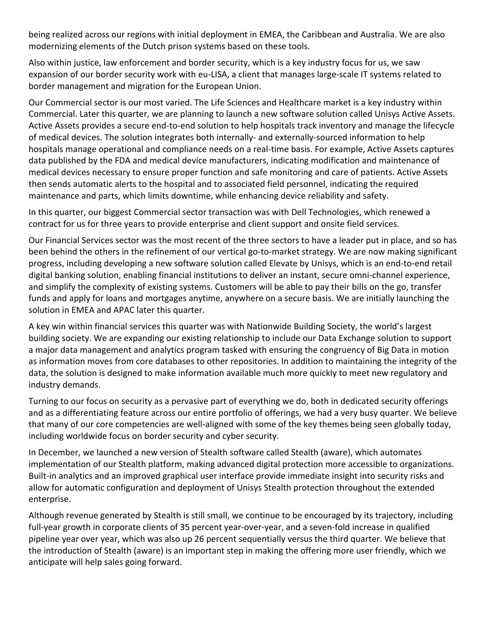being realized across our regions with initial deployment in EMEA, the Caribbean and Australia. We are also modernizing elements of the Dutch prison systems based on these tools.

Also within justice, law enforcement and border security, which is a key industry focus for us, we saw expansion of our border security work with eu-LISA, a client that manages large-scale IT systems related to border management and migration for the European Union.

Our Commercial sector is our most varied. The Life Sciences and Healthcare market is a key industry within Commercial. Later this quarter, we are planning to launch a new software solution called Unisys Active Assets. Active Assets provides a secure end‐to‐end solution to help hospitals track inventory and manage the lifecycle of medical devices. The solution integrates both internally‐ and externally‐sourced information to help hospitals manage operational and compliance needs on a real‐time basis. For example, Active Assets captures data published by the FDA and medical device manufacturers, indicating modification and maintenance of medical devices necessary to ensure proper function and safe monitoring and care of patients. Active Assets then sends automatic alerts to the hospital and to associated field personnel, indicating the required maintenance and parts, which limits downtime, while enhancing device reliability and safety.

In this quarter, our biggest Commercial sector transaction was with Dell Technologies, which renewed a contract for us for three years to provide enterprise and client support and onsite field services.

Our Financial Services sector was the most recent of the three sectors to have a leader put in place, and so has been behind the others in the refinement of our vertical go-to-market strategy. We are now making significant progress, including developing a new software solution called Elevate by Unisys, which is an end‐to‐end retail digital banking solution, enabling financial institutions to deliver an instant, secure omni-channel experience, and simplify the complexity of existing systems. Customers will be able to pay their bills on the go, transfer funds and apply for loans and mortgages anytime, anywhere on a secure basis. We are initially launching the solution in EMEA and APAC later this quarter.

A key win within financial services this quarter was with Nationwide Building Society, the world's largest building society. We are expanding our existing relationship to include our Data Exchange solution to support a major data management and analytics program tasked with ensuring the congruency of Big Data in motion as information moves from core databases to other repositories. In addition to maintaining the integrity of the data, the solution is designed to make information available much more quickly to meet new regulatory and industry demands.

Turning to our focus on security as a pervasive part of everything we do, both in dedicated security offerings and as a differentiating feature across our entire portfolio of offerings, we had a very busy quarter. We believe that many of our core competencies are well-aligned with some of the key themes being seen globally today, including worldwide focus on border security and cyber security.

In December, we launched a new version of Stealth software called Stealth (aware), which automates implementation of our Stealth platform, making advanced digital protection more accessible to organizations. Built-in analytics and an improved graphical user interface provide immediate insight into security risks and allow for automatic configuration and deployment of Unisys Stealth protection throughout the extended enterprise.

Although revenue generated by Stealth is still small, we continue to be encouraged by its trajectory, including full-year growth in corporate clients of 35 percent year-over-year, and a seven-fold increase in qualified pipeline year over year, which was also up 26 percent sequentially versus the third quarter. We believe that the introduction of Stealth (aware) is an important step in making the offering more user friendly, which we anticipate will help sales going forward.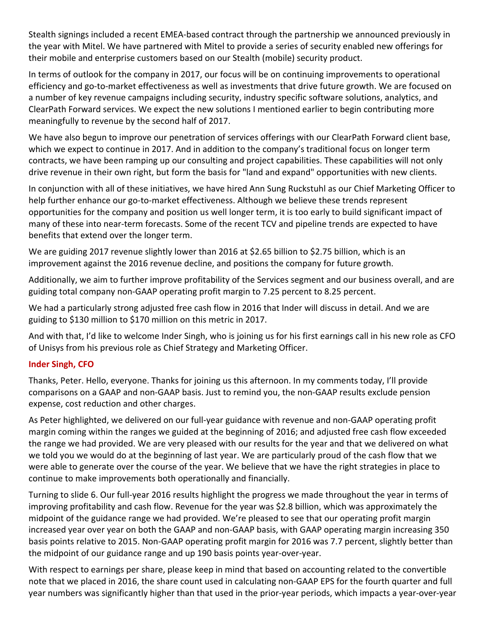Stealth signings included a recent EMEA‐based contract through the partnership we announced previously in the year with Mitel. We have partnered with Mitel to provide a series of security enabled new offerings for their mobile and enterprise customers based on our Stealth (mobile) security product.

In terms of outlook for the company in 2017, our focus will be on continuing improvements to operational efficiency and go‐to‐market effectiveness as well as investments that drive future growth. We are focused on a number of key revenue campaigns including security, industry specific software solutions, analytics, and ClearPath Forward services. We expect the new solutions I mentioned earlier to begin contributing more meaningfully to revenue by the second half of 2017.

We have also begun to improve our penetration of services offerings with our ClearPath Forward client base, which we expect to continue in 2017. And in addition to the company's traditional focus on longer term contracts, we have been ramping up our consulting and project capabilities. These capabilities will not only drive revenue in their own right, but form the basis for "land and expand" opportunities with new clients.

In conjunction with all of these initiatives, we have hired Ann Sung Ruckstuhl as our Chief Marketing Officer to help further enhance our go-to-market effectiveness. Although we believe these trends represent opportunities for the company and position us well longer term, it is too early to build significant impact of many of these into near‐term forecasts. Some of the recent TCV and pipeline trends are expected to have benefits that extend over the longer term.

We are guiding 2017 revenue slightly lower than 2016 at \$2.65 billion to \$2.75 billion, which is an improvement against the 2016 revenue decline, and positions the company for future growth.

Additionally, we aim to further improve profitability of the Services segment and our business overall, and are guiding total company non‐GAAP operating profit margin to 7.25 percent to 8.25 percent.

We had a particularly strong adjusted free cash flow in 2016 that Inder will discuss in detail. And we are guiding to \$130 million to \$170 million on this metric in 2017.

And with that, I'd like to welcome Inder Singh, who is joining us for his first earnings call in his new role as CFO of Unisys from his previous role as Chief Strategy and Marketing Officer.

## **Inder Singh, CFO**

Thanks, Peter. Hello, everyone. Thanks for joining us this afternoon. In my comments today, I'll provide comparisons on a GAAP and non‐GAAP basis. Just to remind you, the non‐GAAP results exclude pension expense, cost reduction and other charges.

As Peter highlighted, we delivered on our full‐year guidance with revenue and non‐GAAP operating profit margin coming within the ranges we guided at the beginning of 2016; and adjusted free cash flow exceeded the range we had provided. We are very pleased with our results for the year and that we delivered on what we told you we would do at the beginning of last year. We are particularly proud of the cash flow that we were able to generate over the course of the year. We believe that we have the right strategies in place to continue to make improvements both operationally and financially.

Turning to slide 6. Our full‐year 2016 results highlight the progress we made throughout the year in terms of improving profitability and cash flow. Revenue for the year was \$2.8 billion, which was approximately the midpoint of the guidance range we had provided. We're pleased to see that our operating profit margin increased year over year on both the GAAP and non‐GAAP basis, with GAAP operating margin increasing 350 basis points relative to 2015. Non‐GAAP operating profit margin for 2016 was 7.7 percent, slightly better than the midpoint of our guidance range and up 190 basis points year‐over‐year.

With respect to earnings per share, please keep in mind that based on accounting related to the convertible note that we placed in 2016, the share count used in calculating non‐GAAP EPS for the fourth quarter and full year numbers was significantly higher than that used in the prior‐year periods, which impacts a year‐over‐year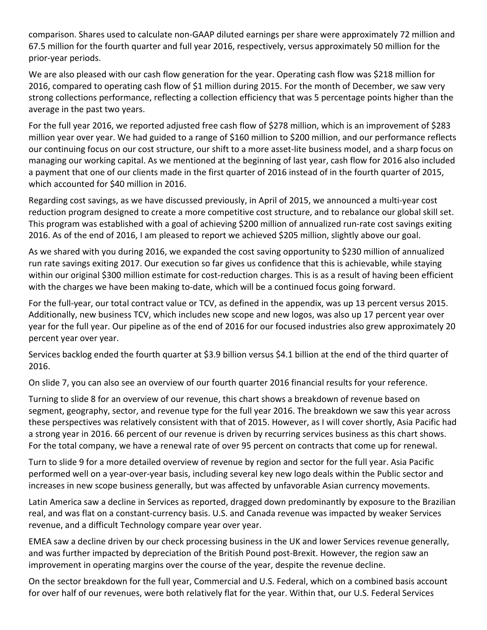comparison. Shares used to calculate non‐GAAP diluted earnings per share were approximately 72 million and 67.5 million for the fourth quarter and full year 2016, respectively, versus approximately 50 million for the prior‐year periods.

We are also pleased with our cash flow generation for the year. Operating cash flow was \$218 million for 2016, compared to operating cash flow of \$1 million during 2015. For the month of December, we saw very strong collections performance, reflecting a collection efficiency that was 5 percentage points higher than the average in the past two years.

For the full year 2016, we reported adjusted free cash flow of \$278 million, which is an improvement of \$283 million year over year. We had guided to a range of \$160 million to \$200 million, and our performance reflects our continuing focus on our cost structure, our shift to a more asset‐lite business model, and a sharp focus on managing our working capital. As we mentioned at the beginning of last year, cash flow for 2016 also included a payment that one of our clients made in the first quarter of 2016 instead of in the fourth quarter of 2015, which accounted for \$40 million in 2016.

Regarding cost savings, as we have discussed previously, in April of 2015, we announced a multi‐year cost reduction program designed to create a more competitive cost structure, and to rebalance our global skill set. This program was established with a goal of achieving \$200 million of annualized run-rate cost savings exiting 2016. As of the end of 2016, I am pleased to report we achieved \$205 million, slightly above our goal.

As we shared with you during 2016, we expanded the cost saving opportunity to \$230 million of annualized run rate savings exiting 2017. Our execution so far gives us confidence that this is achievable, while staying within our original \$300 million estimate for cost-reduction charges. This is as a result of having been efficient with the charges we have been making to-date, which will be a continued focus going forward.

For the full-year, our total contract value or TCV, as defined in the appendix, was up 13 percent versus 2015. Additionally, new business TCV, which includes new scope and new logos, was also up 17 percent year over year for the full year. Our pipeline as of the end of 2016 for our focused industries also grew approximately 20 percent year over year.

Services backlog ended the fourth quarter at \$3.9 billion versus \$4.1 billion at the end of the third quarter of 2016.

On slide 7, you can also see an overview of our fourth quarter 2016 financial results for your reference.

Turning to slide 8 for an overview of our revenue, this chart shows a breakdown of revenue based on segment, geography, sector, and revenue type for the full year 2016. The breakdown we saw this year across these perspectives was relatively consistent with that of 2015. However, as I will cover shortly, Asia Pacific had a strong year in 2016. 66 percent of our revenue is driven by recurring services business as this chart shows. For the total company, we have a renewal rate of over 95 percent on contracts that come up for renewal.

Turn to slide 9 for a more detailed overview of revenue by region and sector for the full year. Asia Pacific performed well on a year‐over‐year basis, including several key new logo deals within the Public sector and increases in new scope business generally, but was affected by unfavorable Asian currency movements.

Latin America saw a decline in Services as reported, dragged down predominantly by exposure to the Brazilian real, and was flat on a constant‐currency basis. U.S. and Canada revenue was impacted by weaker Services revenue, and a difficult Technology compare year over year.

EMEA saw a decline driven by our check processing business in the UK and lower Services revenue generally, and was further impacted by depreciation of the British Pound post‐Brexit. However, the region saw an improvement in operating margins over the course of the year, despite the revenue decline.

On the sector breakdown for the full year, Commercial and U.S. Federal, which on a combined basis account for over half of our revenues, were both relatively flat for the year. Within that, our U.S. Federal Services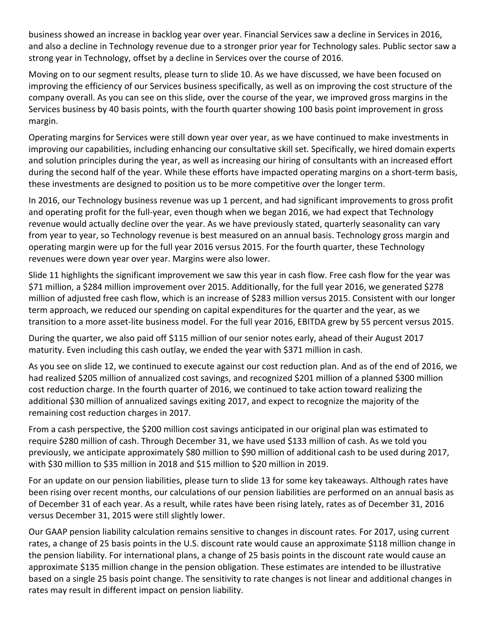business showed an increase in backlog year over year. Financial Services saw a decline in Services in 2016, and also a decline in Technology revenue due to a stronger prior year for Technology sales. Public sector saw a strong year in Technology, offset by a decline in Services over the course of 2016.

Moving on to our segment results, please turn to slide 10. As we have discussed, we have been focused on improving the efficiency of our Services business specifically, as well as on improving the cost structure of the company overall. As you can see on this slide, over the course of the year, we improved gross margins in the Services business by 40 basis points, with the fourth quarter showing 100 basis point improvement in gross margin.

Operating margins for Services were still down year over year, as we have continued to make investments in improving our capabilities, including enhancing our consultative skill set. Specifically, we hired domain experts and solution principles during the year, as well as increasing our hiring of consultants with an increased effort during the second half of the year. While these efforts have impacted operating margins on a short‐term basis, these investments are designed to position us to be more competitive over the longer term.

In 2016, our Technology business revenue was up 1 percent, and had significant improvements to gross profit and operating profit for the full‐year, even though when we began 2016, we had expect that Technology revenue would actually decline over the year. As we have previously stated, quarterly seasonality can vary from year to year, so Technology revenue is best measured on an annual basis. Technology gross margin and operating margin were up for the full year 2016 versus 2015. For the fourth quarter, these Technology revenues were down year over year. Margins were also lower.

Slide 11 highlights the significant improvement we saw this year in cash flow. Free cash flow for the year was \$71 million, a \$284 million improvement over 2015. Additionally, for the full year 2016, we generated \$278 million of adjusted free cash flow, which is an increase of \$283 million versus 2015. Consistent with our longer term approach, we reduced our spending on capital expenditures for the quarter and the year, as we transition to a more asset‐lite business model. For the full year 2016, EBITDA grew by 55 percent versus 2015.

During the quarter, we also paid off \$115 million of our senior notes early, ahead of their August 2017 maturity. Even including this cash outlay, we ended the year with \$371 million in cash.

As you see on slide 12, we continued to execute against our cost reduction plan. And as of the end of 2016, we had realized \$205 million of annualized cost savings, and recognized \$201 million of a planned \$300 million cost reduction charge. In the fourth quarter of 2016, we continued to take action toward realizing the additional \$30 million of annualized savings exiting 2017, and expect to recognize the majority of the remaining cost reduction charges in 2017.

From a cash perspective, the \$200 million cost savings anticipated in our original plan was estimated to require \$280 million of cash. Through December 31, we have used \$133 million of cash. As we told you previously, we anticipate approximately \$80 million to \$90 million of additional cash to be used during 2017, with \$30 million to \$35 million in 2018 and \$15 million to \$20 million in 2019.

For an update on our pension liabilities, please turn to slide 13 for some key takeaways. Although rates have been rising over recent months, our calculations of our pension liabilities are performed on an annual basis as of December 31 of each year. As a result, while rates have been rising lately, rates as of December 31, 2016 versus December 31, 2015 were still slightly lower.

Our GAAP pension liability calculation remains sensitive to changes in discount rates. For 2017, using current rates, a change of 25 basis points in the U.S. discount rate would cause an approximate \$118 million change in the pension liability. For international plans, a change of 25 basis points in the discount rate would cause an approximate \$135 million change in the pension obligation. These estimates are intended to be illustrative based on a single 25 basis point change. The sensitivity to rate changes is not linear and additional changes in rates may result in different impact on pension liability.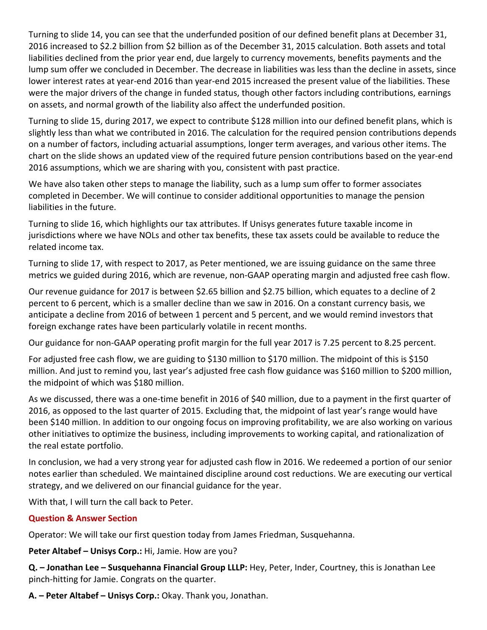Turning to slide 14, you can see that the underfunded position of our defined benefit plans at December 31, 2016 increased to \$2.2 billion from \$2 billion as of the December 31, 2015 calculation. Both assets and total liabilities declined from the prior year end, due largely to currency movements, benefits payments and the lump sum offer we concluded in December. The decrease in liabilities was less than the decline in assets, since lower interest rates at year-end 2016 than year-end 2015 increased the present value of the liabilities. These were the major drivers of the change in funded status, though other factors including contributions, earnings on assets, and normal growth of the liability also affect the underfunded position.

Turning to slide 15, during 2017, we expect to contribute \$128 million into our defined benefit plans, which is slightly less than what we contributed in 2016. The calculation for the required pension contributions depends on a number of factors, including actuarial assumptions, longer term averages, and various other items. The chart on the slide shows an updated view of the required future pension contributions based on the year‐end 2016 assumptions, which we are sharing with you, consistent with past practice.

We have also taken other steps to manage the liability, such as a lump sum offer to former associates completed in December. We will continue to consider additional opportunities to manage the pension liabilities in the future.

Turning to slide 16, which highlights our tax attributes. If Unisys generates future taxable income in jurisdictions where we have NOLs and other tax benefits, these tax assets could be available to reduce the related income tax.

Turning to slide 17, with respect to 2017, as Peter mentioned, we are issuing guidance on the same three metrics we guided during 2016, which are revenue, non‐GAAP operating margin and adjusted free cash flow.

Our revenue guidance for 2017 is between \$2.65 billion and \$2.75 billion, which equates to a decline of 2 percent to 6 percent, which is a smaller decline than we saw in 2016. On a constant currency basis, we anticipate a decline from 2016 of between 1 percent and 5 percent, and we would remind investors that foreign exchange rates have been particularly volatile in recent months.

Our guidance for non‐GAAP operating profit margin for the full year 2017 is 7.25 percent to 8.25 percent.

For adjusted free cash flow, we are guiding to \$130 million to \$170 million. The midpoint of this is \$150 million. And just to remind you, last year's adjusted free cash flow guidance was \$160 million to \$200 million, the midpoint of which was \$180 million.

As we discussed, there was a one‐time benefit in 2016 of \$40 million, due to a payment in the first quarter of 2016, as opposed to the last quarter of 2015. Excluding that, the midpoint of last year's range would have been \$140 million. In addition to our ongoing focus on improving profitability, we are also working on various other initiatives to optimize the business, including improvements to working capital, and rationalization of the real estate portfolio.

In conclusion, we had a very strong year for adjusted cash flow in 2016. We redeemed a portion of our senior notes earlier than scheduled. We maintained discipline around cost reductions. We are executing our vertical strategy, and we delivered on our financial guidance for the year.

With that, I will turn the call back to Peter.

## **Question & Answer Section**

Operator: We will take our first question today from James Friedman, Susquehanna.

**Peter Altabef – Unisys Corp.:** Hi, Jamie. How are you?

**Q. – Jonathan Lee – Susquehanna Financial Group LLLP:** Hey, Peter, Inder, Courtney, this is Jonathan Lee pinch‐hitting for Jamie. Congrats on the quarter.

**A. – Peter Altabef – Unisys Corp.:** Okay. Thank you, Jonathan.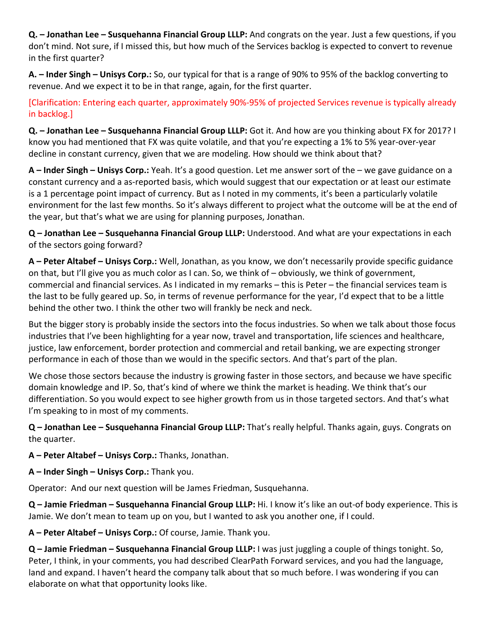**Q. – Jonathan Lee – Susquehanna Financial Group LLLP:** And congrats on the year. Just a few questions, if you don't mind. Not sure, if I missed this, but how much of the Services backlog is expected to convert to revenue in the first quarter?

**A. – Inder Singh – Unisys Corp.:** So, our typical for that is a range of 90% to 95% of the backlog converting to revenue. And we expect it to be in that range, again, for the first quarter.

[Clarification: Entering each quarter, approximately 90%‐95% of projected Services revenue is typically already in backlog.]

**Q. – Jonathan Lee – Susquehanna Financial Group LLLP:** Got it. And how are you thinking about FX for 2017? I know you had mentioned that FX was quite volatile, and that you're expecting a 1% to 5% year-over-year decline in constant currency, given that we are modeling. How should we think about that?

**A – Inder Singh – Unisys Corp.:** Yeah. It's a good question. Let me answer sort of the – we gave guidance on a constant currency and a as‐reported basis, which would suggest that our expectation or at least our estimate is a 1 percentage point impact of currency. But as I noted in my comments, it's been a particularly volatile environment for the last few months. So it's always different to project what the outcome will be at the end of the year, but that's what we are using for planning purposes, Jonathan.

**Q – Jonathan Lee – Susquehanna Financial Group LLLP:** Understood. And what are your expectations in each of the sectors going forward?

**A – Peter Altabef – Unisys Corp.:** Well, Jonathan, as you know, we don't necessarily provide specific guidance on that, but I'll give you as much color as I can. So, we think of – obviously, we think of government, commercial and financial services. As I indicated in my remarks – this is Peter – the financial services team is the last to be fully geared up. So, in terms of revenue performance for the year, I'd expect that to be a little behind the other two. I think the other two will frankly be neck and neck.

But the bigger story is probably inside the sectors into the focus industries. So when we talk about those focus industries that I've been highlighting for a year now, travel and transportation, life sciences and healthcare, justice, law enforcement, border protection and commercial and retail banking, we are expecting stronger performance in each of those than we would in the specific sectors. And that's part of the plan.

We chose those sectors because the industry is growing faster in those sectors, and because we have specific domain knowledge and IP. So, that's kind of where we think the market is heading. We think that's our differentiation. So you would expect to see higher growth from us in those targeted sectors. And that's what I'm speaking to in most of my comments.

**Q – Jonathan Lee – Susquehanna Financial Group LLLP:** That's really helpful. Thanks again, guys. Congrats on the quarter.

**A – Peter Altabef – Unisys Corp.:** Thanks, Jonathan.

**A – Inder Singh – Unisys Corp.:** Thank you.

Operator: And our next question will be James Friedman, Susquehanna.

**Q – Jamie Friedman – Susquehanna Financial Group LLLP:** Hi. I know it's like an out‐of body experience. This is Jamie. We don't mean to team up on you, but I wanted to ask you another one, if I could.

**A – Peter Altabef – Unisys Corp.:** Of course, Jamie. Thank you.

**Q – Jamie Friedman – Susquehanna Financial Group LLLP:** I was just juggling a couple of things tonight. So, Peter, I think, in your comments, you had described ClearPath Forward services, and you had the language, land and expand. I haven't heard the company talk about that so much before. I was wondering if you can elaborate on what that opportunity looks like.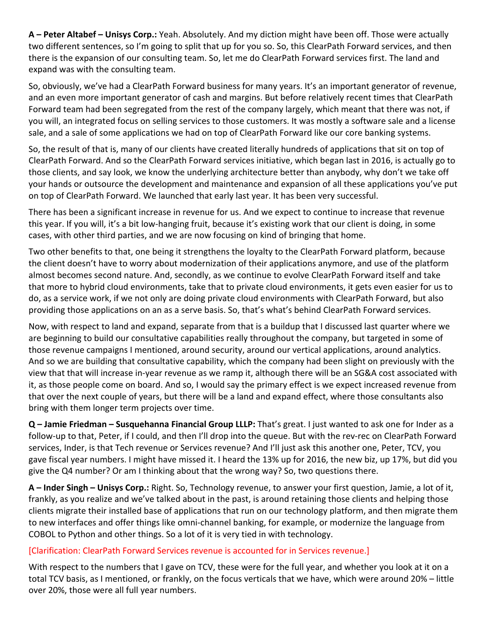**A – Peter Altabef – Unisys Corp.:** Yeah. Absolutely. And my diction might have been off. Those were actually two different sentences, so I'm going to split that up for you so. So, this ClearPath Forward services, and then there is the expansion of our consulting team. So, let me do ClearPath Forward services first. The land and expand was with the consulting team.

So, obviously, we've had a ClearPath Forward business for many years. It's an important generator of revenue, and an even more important generator of cash and margins. But before relatively recent times that ClearPath Forward team had been segregated from the rest of the company largely, which meant that there was not, if you will, an integrated focus on selling services to those customers. It was mostly a software sale and a license sale, and a sale of some applications we had on top of ClearPath Forward like our core banking systems.

So, the result of that is, many of our clients have created literally hundreds of applications that sit on top of ClearPath Forward. And so the ClearPath Forward services initiative, which began last in 2016, is actually go to those clients, and say look, we know the underlying architecture better than anybody, why don't we take off your hands or outsource the development and maintenance and expansion of all these applications you've put on top of ClearPath Forward. We launched that early last year. It has been very successful.

There has been a significant increase in revenue for us. And we expect to continue to increase that revenue this year. If you will, it's a bit low‐hanging fruit, because it's existing work that our client is doing, in some cases, with other third parties, and we are now focusing on kind of bringing that home.

Two other benefits to that, one being it strengthens the loyalty to the ClearPath Forward platform, because the client doesn't have to worry about modernization of their applications anymore, and use of the platform almost becomes second nature. And, secondly, as we continue to evolve ClearPath Forward itself and take that more to hybrid cloud environments, take that to private cloud environments, it gets even easier for us to do, as a service work, if we not only are doing private cloud environments with ClearPath Forward, but also providing those applications on an as a serve basis. So, that's what's behind ClearPath Forward services.

Now, with respect to land and expand, separate from that is a buildup that I discussed last quarter where we are beginning to build our consultative capabilities really throughout the company, but targeted in some of those revenue campaigns I mentioned, around security, around our vertical applications, around analytics. And so we are building that consultative capability, which the company had been slight on previously with the view that that will increase in‐year revenue as we ramp it, although there will be an SG&A cost associated with it, as those people come on board. And so, I would say the primary effect is we expect increased revenue from that over the next couple of years, but there will be a land and expand effect, where those consultants also bring with them longer term projects over time.

**Q – Jamie Friedman – Susquehanna Financial Group LLLP:** That's great. I just wanted to ask one for Inder as a follow-up to that, Peter, if I could, and then I'll drop into the queue. But with the rev-rec on ClearPath Forward services, Inder, is that Tech revenue or Services revenue? And I'll just ask this another one, Peter, TCV, you gave fiscal year numbers. I might have missed it. I heard the 13% up for 2016, the new biz, up 17%, but did you give the Q4 number? Or am I thinking about that the wrong way? So, two questions there.

**A – Inder Singh – Unisys Corp.:** Right. So, Technology revenue, to answer your first question, Jamie, a lot of it, frankly, as you realize and we've talked about in the past, is around retaining those clients and helping those clients migrate their installed base of applications that run on our technology platform, and then migrate them to new interfaces and offer things like omni‐channel banking, for example, or modernize the language from COBOL to Python and other things. So a lot of it is very tied in with technology.

# [Clarification: ClearPath Forward Services revenue is accounted for in Services revenue.]

With respect to the numbers that I gave on TCV, these were for the full year, and whether you look at it on a total TCV basis, as I mentioned, or frankly, on the focus verticals that we have, which were around 20% – little over 20%, those were all full year numbers.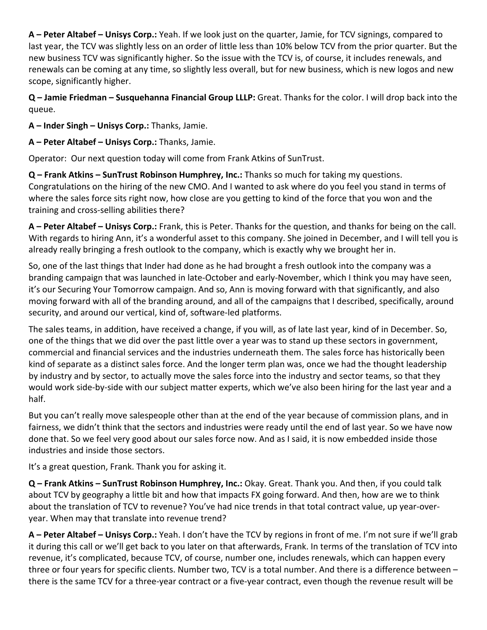**A – Peter Altabef – Unisys Corp.:** Yeah. If we look just on the quarter, Jamie, for TCV signings, compared to last year, the TCV was slightly less on an order of little less than 10% below TCV from the prior quarter. But the new business TCV was significantly higher. So the issue with the TCV is, of course, it includes renewals, and renewals can be coming at any time, so slightly less overall, but for new business, which is new logos and new scope, significantly higher.

**Q – Jamie Friedman – Susquehanna Financial Group LLLP:** Great. Thanks for the color. I will drop back into the queue.

**A – Inder Singh – Unisys Corp.:** Thanks, Jamie.

**A – Peter Altabef – Unisys Corp.:** Thanks, Jamie.

Operator: Our next question today will come from Frank Atkins of SunTrust.

**Q – Frank Atkins – SunTrust Robinson Humphrey, Inc.:** Thanks so much for taking my questions. Congratulations on the hiring of the new CMO. And I wanted to ask where do you feel you stand in terms of where the sales force sits right now, how close are you getting to kind of the force that you won and the training and cross‐selling abilities there?

**A – Peter Altabef – Unisys Corp.:** Frank, this is Peter. Thanks for the question, and thanks for being on the call. With regards to hiring Ann, it's a wonderful asset to this company. She joined in December, and I will tell you is already really bringing a fresh outlook to the company, which is exactly why we brought her in.

So, one of the last things that Inder had done as he had brought a fresh outlook into the company was a branding campaign that was launched in late‐October and early‐November, which I think you may have seen, it's our Securing Your Tomorrow campaign. And so, Ann is moving forward with that significantly, and also moving forward with all of the branding around, and all of the campaigns that I described, specifically, around security, and around our vertical, kind of, software‐led platforms.

The sales teams, in addition, have received a change, if you will, as of late last year, kind of in December. So, one of the things that we did over the past little over a year was to stand up these sectors in government, commercial and financial services and the industries underneath them. The sales force has historically been kind of separate as a distinct sales force. And the longer term plan was, once we had the thought leadership by industry and by sector, to actually move the sales force into the industry and sector teams, so that they would work side‐by‐side with our subject matter experts, which we've also been hiring for the last year and a half.

But you can't really move salespeople other than at the end of the year because of commission plans, and in fairness, we didn't think that the sectors and industries were ready until the end of last year. So we have now done that. So we feel very good about our sales force now. And as I said, it is now embedded inside those industries and inside those sectors.

It's a great question, Frank. Thank you for asking it.

**Q – Frank Atkins – SunTrust Robinson Humphrey, Inc.:** Okay. Great. Thank you. And then, if you could talk about TCV by geography a little bit and how that impacts FX going forward. And then, how are we to think about the translation of TCV to revenue? You've had nice trends in that total contract value, up year‐over‐ year. When may that translate into revenue trend?

**A – Peter Altabef – Unisys Corp.:** Yeah. I don't have the TCV by regions in front of me. I'm not sure if we'll grab it during this call or we'll get back to you later on that afterwards, Frank. In terms of the translation of TCV into revenue, it's complicated, because TCV, of course, number one, includes renewals, which can happen every three or four years for specific clients. Number two, TCV is a total number. And there is a difference between – there is the same TCV for a three‐year contract or a five‐year contract, even though the revenue result will be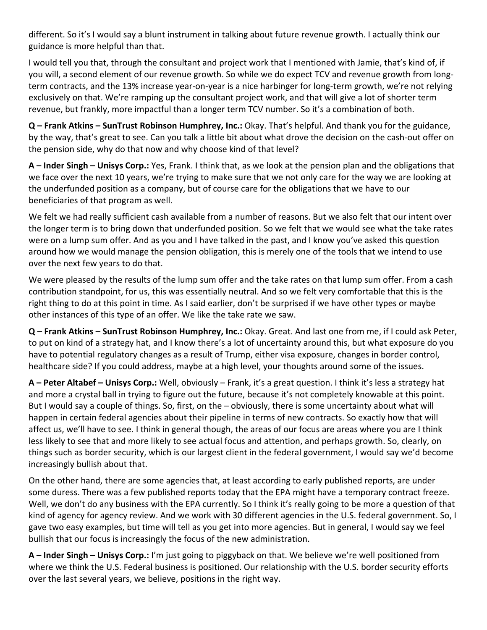different. So it's I would say a blunt instrument in talking about future revenue growth. I actually think our guidance is more helpful than that.

I would tell you that, through the consultant and project work that I mentioned with Jamie, that's kind of, if you will, a second element of our revenue growth. So while we do expect TCV and revenue growth from long‐ term contracts, and the 13% increase year‐on‐year is a nice harbinger for long‐term growth, we're not relying exclusively on that. We're ramping up the consultant project work, and that will give a lot of shorter term revenue, but frankly, more impactful than a longer term TCV number. So it's a combination of both.

**Q – Frank Atkins – SunTrust Robinson Humphrey, Inc.:** Okay. That's helpful. And thank you for the guidance, by the way, that's great to see. Can you talk a little bit about what drove the decision on the cash‐out offer on the pension side, why do that now and why choose kind of that level?

**A – Inder Singh – Unisys Corp.:** Yes, Frank. I think that, as we look at the pension plan and the obligations that we face over the next 10 years, we're trying to make sure that we not only care for the way we are looking at the underfunded position as a company, but of course care for the obligations that we have to our beneficiaries of that program as well.

We felt we had really sufficient cash available from a number of reasons. But we also felt that our intent over the longer term is to bring down that underfunded position. So we felt that we would see what the take rates were on a lump sum offer. And as you and I have talked in the past, and I know you've asked this question around how we would manage the pension obligation, this is merely one of the tools that we intend to use over the next few years to do that.

We were pleased by the results of the lump sum offer and the take rates on that lump sum offer. From a cash contribution standpoint, for us, this was essentially neutral. And so we felt very comfortable that this is the right thing to do at this point in time. As I said earlier, don't be surprised if we have other types or maybe other instances of this type of an offer. We like the take rate we saw.

**Q – Frank Atkins – SunTrust Robinson Humphrey, Inc.:** Okay. Great. And last one from me, if I could ask Peter, to put on kind of a strategy hat, and I know there's a lot of uncertainty around this, but what exposure do you have to potential regulatory changes as a result of Trump, either visa exposure, changes in border control, healthcare side? If you could address, maybe at a high level, your thoughts around some of the issues.

**A – Peter Altabef – Unisys Corp.:** Well, obviously – Frank, it's a great question. I think it's less a strategy hat and more a crystal ball in trying to figure out the future, because it's not completely knowable at this point. But I would say a couple of things. So, first, on the – obviously, there is some uncertainty about what will happen in certain federal agencies about their pipeline in terms of new contracts. So exactly how that will affect us, we'll have to see. I think in general though, the areas of our focus are areas where you are I think less likely to see that and more likely to see actual focus and attention, and perhaps growth. So, clearly, on things such as border security, which is our largest client in the federal government, I would say we'd become increasingly bullish about that.

On the other hand, there are some agencies that, at least according to early published reports, are under some duress. There was a few published reports today that the EPA might have a temporary contract freeze. Well, we don't do any business with the EPA currently. So I think it's really going to be more a question of that kind of agency for agency review. And we work with 30 different agencies in the U.S. federal government. So, I gave two easy examples, but time will tell as you get into more agencies. But in general, I would say we feel bullish that our focus is increasingly the focus of the new administration.

**A – Inder Singh – Unisys Corp.:** I'm just going to piggyback on that. We believe we're well positioned from where we think the U.S. Federal business is positioned. Our relationship with the U.S. border security efforts over the last several years, we believe, positions in the right way.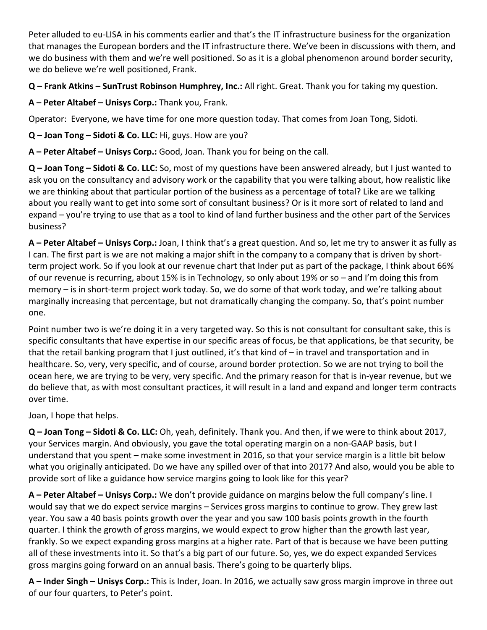Peter alluded to eu-LISA in his comments earlier and that's the IT infrastructure business for the organization that manages the European borders and the IT infrastructure there. We've been in discussions with them, and we do business with them and we're well positioned. So as it is a global phenomenon around border security, we do believe we're well positioned, Frank.

**Q – Frank Atkins – SunTrust Robinson Humphrey, Inc.:** All right. Great. Thank you for taking my question.

**A – Peter Altabef – Unisys Corp.:** Thank you, Frank.

Operator: Everyone, we have time for one more question today. That comes from Joan Tong, Sidoti.

**Q – Joan Tong – Sidoti & Co. LLC:** Hi, guys. How are you?

**A – Peter Altabef – Unisys Corp.:** Good, Joan. Thank you for being on the call.

**Q – Joan Tong – Sidoti & Co. LLC:** So, most of my questions have been answered already, but I just wanted to ask you on the consultancy and advisory work or the capability that you were talking about, how realistic like we are thinking about that particular portion of the business as a percentage of total? Like are we talking about you really want to get into some sort of consultant business? Or is it more sort of related to land and expand – you're trying to use that as a tool to kind of land further business and the other part of the Services business?

**A – Peter Altabef – Unisys Corp.:** Joan, I think that's a great question. And so, let me try to answer it as fully as I can. The first part is we are not making a major shift in the company to a company that is driven by short‐ term project work. So if you look at our revenue chart that Inder put as part of the package, I think about 66% of our revenue is recurring, about 15% is in Technology, so only about 19% or so – and I'm doing this from memory – is in short‐term project work today. So, we do some of that work today, and we're talking about marginally increasing that percentage, but not dramatically changing the company. So, that's point number one.

Point number two is we're doing it in a very targeted way. So this is not consultant for consultant sake, this is specific consultants that have expertise in our specific areas of focus, be that applications, be that security, be that the retail banking program that I just outlined, it's that kind of – in travel and transportation and in healthcare. So, very, very specific, and of course, around border protection. So we are not trying to boil the ocean here, we are trying to be very, very specific. And the primary reason for that is in‐year revenue, but we do believe that, as with most consultant practices, it will result in a land and expand and longer term contracts over time.

Joan, I hope that helps.

**Q – Joan Tong – Sidoti & Co. LLC:** Oh, yeah, definitely. Thank you. And then, if we were to think about 2017, your Services margin. And obviously, you gave the total operating margin on a non‐GAAP basis, but I understand that you spent – make some investment in 2016, so that your service margin is a little bit below what you originally anticipated. Do we have any spilled over of that into 2017? And also, would you be able to provide sort of like a guidance how service margins going to look like for this year?

**A – Peter Altabef – Unisys Corp.:** We don't provide guidance on margins below the full company's line. I would say that we do expect service margins – Services gross margins to continue to grow. They grew last year. You saw a 40 basis points growth over the year and you saw 100 basis points growth in the fourth quarter. I think the growth of gross margins, we would expect to grow higher than the growth last year, frankly. So we expect expanding gross margins at a higher rate. Part of that is because we have been putting all of these investments into it. So that's a big part of our future. So, yes, we do expect expanded Services gross margins going forward on an annual basis. There's going to be quarterly blips.

**A – Inder Singh – Unisys Corp.:** This is Inder, Joan. In 2016, we actually saw gross margin improve in three out of our four quarters, to Peter's point.